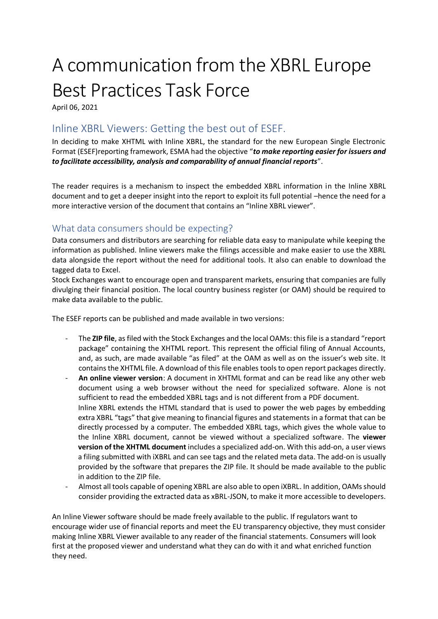## A communication from the XBRL Europe Best Practices Task Force

April 06, 2021

## Inline XBRL Viewers: Getting the best out of ESEF.

In deciding to make XHTML with Inline XBRL, the standard for the new European Single Electronic Format (ESEF)reporting framework, ESMA had the objective "*to make reporting easier for issuers and to facilitate accessibility, analysis and comparability of annual financial reports*".

The reader requires is a mechanism to inspect the embedded XBRL information in the Inline XBRL document and to get a deeper insight into the report to exploit its full potential –hence the need for a more interactive version of the document that contains an "Inline XBRL viewer".

## What data consumers should be expecting?

Data consumers and distributors are searching for reliable data easy to manipulate while keeping the information as published. Inline viewers make the filings accessible and make easier to use the XBRL data alongside the report without the need for additional tools. It also can enable to download the tagged data to Excel.

Stock Exchanges want to encourage open and transparent markets, ensuring that companies are fully divulging their financial position. The local country business register (or OAM) should be required to make data available to the public.

The ESEF reports can be published and made available in two versions:

- The **ZIP file**, as filed with the Stock Exchanges and the local OAMs: this file is a standard "report package" containing the XHTML report. This represent the official filing of Annual Accounts, and, as such, are made available "as filed" at the OAM as well as on the issuer's web site. It contains the XHTML file. A download of this file enables tools to open report packages directly.
- **An online viewer version**: A document in XHTML format and can be read like any other web document using a web browser without the need for specialized software. Alone is not sufficient to read the embedded XBRL tags and is not different from a PDF document. Inline XBRL extends the HTML standard that is used to power the web pages by embedding extra XBRL "tags" that give meaning to financial figures and statements in a format that can be directly processed by a computer. The embedded XBRL tags, which gives the whole value to the Inline XBRL document, cannot be viewed without a specialized software. The **viewer version of the XHTML document** includes a specialized add-on. With this add-on, a user views a filing submitted with iXBRL and can see tags and the related meta data. The add-on is usually provided by the software that prepares the ZIP file. It should be made available to the public in addition to the ZIP file.
- Almost all tools capable of opening XBRL are also able to open iXBRL. In addition, OAMs should consider providing the extracted data as xBRL-JSON, to make it more accessible to developers.

An Inline Viewer software should be made freely available to the public. If regulators want to encourage wider use of financial reports and meet the EU transparency objective, they must consider making Inline XBRL Viewer available to any reader of the financial statements. Consumers will look first at the proposed viewer and understand what they can do with it and what enriched function they need.